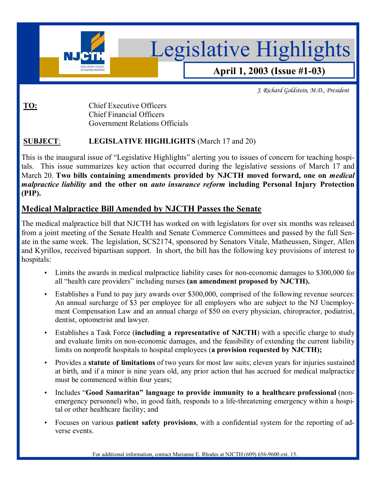

*J. Richard Goldstein, M.D., President* 

# **TO:** Chief Executive Officers

 Chief Financial Officers Government Relations Officials

## **SUBJECT**: **LEGISLATIVE HIGHLIGHTS** (March 17 and 20)

This is the inaugural issue of "Legislative Highlights" alerting you to issues of concern for teaching hospitals. This issue summarizes key action that occurred during the legislative sessions of March 17 and March 20. **Two bills containing amendments provided by NJCTH moved forward, one on** *medical malpractice liability* **and the other on** *auto insurance reform* **including Personal Injury Protection (PIP).**

# **Medical Malpractice Bill Amended by NJCTH Passes the Senate**

The medical malpractice bill that NJCTH has worked on with legislators for over six months was released from a joint meeting of the Senate Health and Senate Commerce Committees and passed by the full Senate in the same week. The legislation, SCS2174, sponsored by Senators Vitale, Matheussen, Singer, Allen and Kyrillos, received bipartisan support. In short, the bill has the following key provisions of interest to hospitals:

- Limits the awards in medical malpractice liability cases for non-economic damages to \$300,000 for all "health care providers" including nurses (an amendment proposed by NJCTH).
- Establishes a Fund to pay jury awards over \$300,000, comprised of the following revenue sources: An annual surcharge of \$3 per employee for all employers who are subject to the NJ Unemployment Compensation Law and an annual charge of \$50 on every physician, chiropractor, podiatrist, dentist, optometrist and lawyer.
- Establishes a Task Force (**including a representative of NJCTH**) with a specific charge to study and evaluate limits on non-economic damages, and the feasibility of extending the current liability limits on nonprofit hospitals to hospital employees (**a provision requested by NJCTH);**
- Provides a **statute of limitations** of two years for most law suits; eleven years for injuries sustained at birth, and if a minor is nine years old, any prior action that has accrued for medical malpractice must be commenced within four years;
- Includes ì**Good Samaritanî language to provide immunity to a healthcare professional** (nonemergency personnel) who, in good faith, responds to a life-threatening emergency within a hospital or other healthcare facility; and
- Focuses on various **patient safety provisions**, with a confidential system for the reporting of adverse events.

For additional information, contact Marianne E. Rhodes at NJCTH (609) 656-9600 ext. 15.